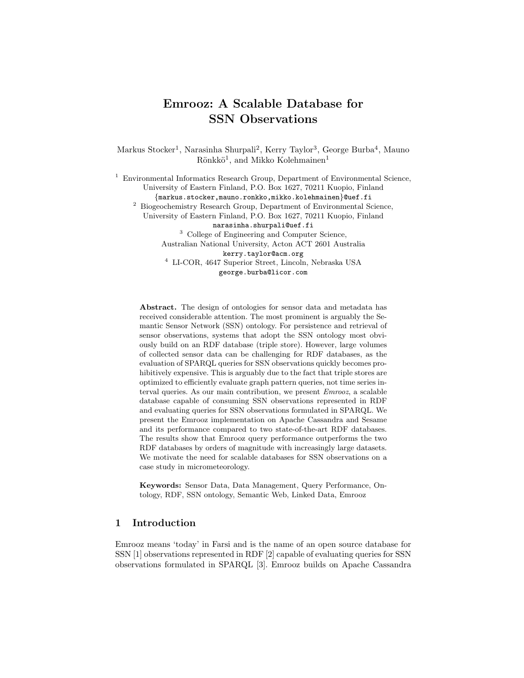# Emrooz: A Scalable Database for SSN Observations

Markus Stocker<sup>1</sup>, Narasinha Shurpali<sup>2</sup>, Kerry Taylor<sup>3</sup>, George Burba<sup>4</sup>, Mauno  $R$ önkkö<sup>1</sup>, and Mikko Kolehmainen<sup>1</sup>

<sup>1</sup> Environmental Informatics Research Group, Department of Environmental Science, University of Eastern Finland, P.O. Box 1627, 70211 Kuopio, Finland {markus.stocker,mauno.ronkko,mikko.kolehmainen}@uef.fi <sup>2</sup> Biogeochemistry Research Group, Department of Environmental Science, University of Eastern Finland, P.O. Box 1627, 70211 Kuopio, Finland narasinha.shurpali@uef.fi <sup>3</sup> College of Engineering and Computer Science, Australian National University, Acton ACT 2601 Australia kerry.taylor@acm.org <sup>4</sup> LI-COR, 4647 Superior Street, Lincoln, Nebraska USA george.burba@licor.com

Abstract. The design of ontologies for sensor data and metadata has received considerable attention. The most prominent is arguably the Semantic Sensor Network (SSN) ontology. For persistence and retrieval of sensor observations, systems that adopt the SSN ontology most obviously build on an RDF database (triple store). However, large volumes of collected sensor data can be challenging for RDF databases, as the evaluation of SPARQL queries for SSN observations quickly becomes prohibitively expensive. This is arguably due to the fact that triple stores are optimized to efficiently evaluate graph pattern queries, not time series interval queries. As our main contribution, we present Emrooz, a scalable database capable of consuming SSN observations represented in RDF and evaluating queries for SSN observations formulated in SPARQL. We present the Emrooz implementation on Apache Cassandra and Sesame and its performance compared to two state-of-the-art RDF databases. The results show that Emrooz query performance outperforms the two RDF databases by orders of magnitude with increasingly large datasets. We motivate the need for scalable databases for SSN observations on a case study in micrometeorology.

Keywords: Sensor Data, Data Management, Query Performance, Ontology, RDF, SSN ontology, Semantic Web, Linked Data, Emrooz

# 1 Introduction

Emrooz means 'today' in Farsi and is the name of an open source database for SSN [1] observations represented in RDF [2] capable of evaluating queries for SSN observations formulated in SPARQL [3]. Emrooz builds on Apache Cassandra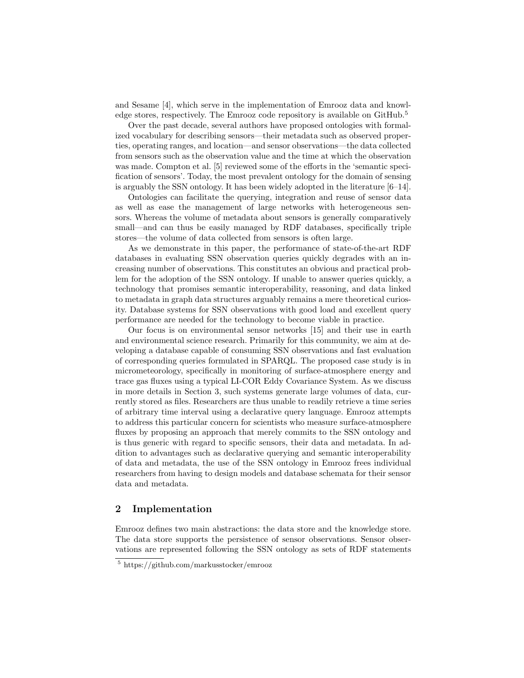and Sesame [4], which serve in the implementation of Emrooz data and knowledge stores, respectively. The Emrooz code repository is available on GitHub.<sup>5</sup>

Over the past decade, several authors have proposed ontologies with formalized vocabulary for describing sensors—their metadata such as observed properties, operating ranges, and location—and sensor observations—the data collected from sensors such as the observation value and the time at which the observation was made. Compton et al. [5] reviewed some of the efforts in the 'semantic specification of sensors'. Today, the most prevalent ontology for the domain of sensing is arguably the SSN ontology. It has been widely adopted in the literature [6–14].

Ontologies can facilitate the querying, integration and reuse of sensor data as well as ease the management of large networks with heterogeneous sensors. Whereas the volume of metadata about sensors is generally comparatively small—and can thus be easily managed by RDF databases, specifically triple stores—the volume of data collected from sensors is often large.

As we demonstrate in this paper, the performance of state-of-the-art RDF databases in evaluating SSN observation queries quickly degrades with an increasing number of observations. This constitutes an obvious and practical problem for the adoption of the SSN ontology. If unable to answer queries quickly, a technology that promises semantic interoperability, reasoning, and data linked to metadata in graph data structures arguably remains a mere theoretical curiosity. Database systems for SSN observations with good load and excellent query performance are needed for the technology to become viable in practice.

Our focus is on environmental sensor networks [15] and their use in earth and environmental science research. Primarily for this community, we aim at developing a database capable of consuming SSN observations and fast evaluation of corresponding queries formulated in SPARQL. The proposed case study is in micrometeorology, specifically in monitoring of surface-atmosphere energy and trace gas fluxes using a typical LI-COR Eddy Covariance System. As we discuss in more details in Section 3, such systems generate large volumes of data, currently stored as files. Researchers are thus unable to readily retrieve a time series of arbitrary time interval using a declarative query language. Emrooz attempts to address this particular concern for scientists who measure surface-atmosphere fluxes by proposing an approach that merely commits to the SSN ontology and is thus generic with regard to specific sensors, their data and metadata. In addition to advantages such as declarative querying and semantic interoperability of data and metadata, the use of the SSN ontology in Emrooz frees individual researchers from having to design models and database schemata for their sensor data and metadata.

#### 2 Implementation

Emrooz defines two main abstractions: the data store and the knowledge store. The data store supports the persistence of sensor observations. Sensor observations are represented following the SSN ontology as sets of RDF statements

<sup>5</sup> https://github.com/markusstocker/emrooz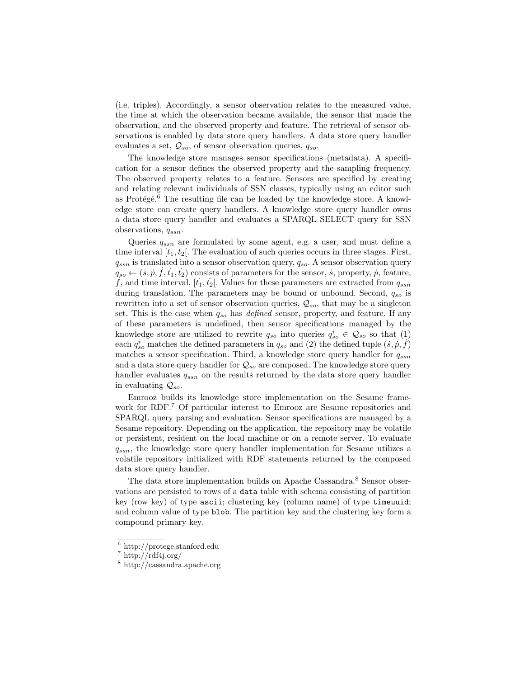(i.e. triples). Accordingly, a sensor observation relates to the measured value, the time at which the observation became available, the sensor that made the observation, and the observed property and feature. The retrieval of sensor observations is enabled by data store query handlers. A data store query handler evaluates a set,  $Q_{so}$ , of sensor observation queries,  $q_{so}$ .

The knowledge store manages sensor specifications (metadata). A specification for a sensor defines the observed property and the sampling frequency. The observed property relates to a feature. Sensors are specified by creating and relating relevant individuals of SSN classes, typically using an editor such as Protégé.<sup>6</sup> The resulting file can be loaded by the knowledge store. A knowledge store can create query handlers. A knowledge store query handler owns a data store query handler and evaluates a SPARQL SELECT query for SSN observations,  $q_{ssn}$ .

Queries  $q_{ssn}$  are formulated by some agent, e.g. a user, and must define a time interval  $[t_1, t_2]$ . The evaluation of such queries occurs in three stages. First,  $q_{ssn}$  is translated into a sensor observation query,  $q_{so}$ . A sensor observation query  $q_{so} \leftarrow (\dot{s}, \dot{p}, \dot{f}, \dot{t}_1, \dot{t}_2)$  consists of parameters for the sensor,  $\dot{s}$ , property,  $\dot{p}$ , feature, f, and time interval,  $[t_1, t_2]$ . Values for these parameters are extracted from  $q_{ssn}$ during translation. The parameters may be bound or unbound. Second,  $q_{so}$  is rewritten into a set of sensor observation queries,  $\mathcal{Q}_{so}$ , that may be a singleton set. This is the case when  $q_{so}$  has *defined* sensor, property, and feature. If any of these parameters is undefined, then sensor specifications managed by the knowledge store are utilized to rewrite  $q_{so}$  into queries  $q_{so}^i \in \mathcal{Q}_{so}$  so that (1) each  $q_{so}^{i}$  matches the defined parameters in  $q_{so}$  and (2) the defined tuple  $(s, p, f)$ matches a sensor specification. Third, a knowledge store query handler for  $q_{ssn}$ and a data store query handler for  $Q_{so}$  are composed. The knowledge store query handler evaluates  $q_{ssn}$  on the results returned by the data store query handler in evaluating  $Q_{so}$ .

Emrooz builds its knowledge store implementation on the Sesame framework for RDF.<sup>7</sup> Of particular interest to Emrooz are Sesame repositories and SPARQL query parsing and evaluation. Sensor specifications are managed by a Sesame repository. Depending on the application, the repository may be volatile or persistent, resident on the local machine or on a remote server. To evaluate  $q_{ssn}$ , the knowledge store query handler implementation for Sesame utilizes a volatile repository initialized with RDF statements returned by the composed data store query handler.

The data store implementation builds on Apache Cassandra.<sup>8</sup> Sensor observations are persisted to rows of a data table with schema consisting of partition key (row key) of type ascii; clustering key (column name) of type timeuuid; and column value of type blob. The partition key and the clustering key form a compound primary key.

<sup>6</sup> http://protege.stanford.edu

 $7$  http://rdf4j.org/

<sup>8</sup> http://cassandra.apache.org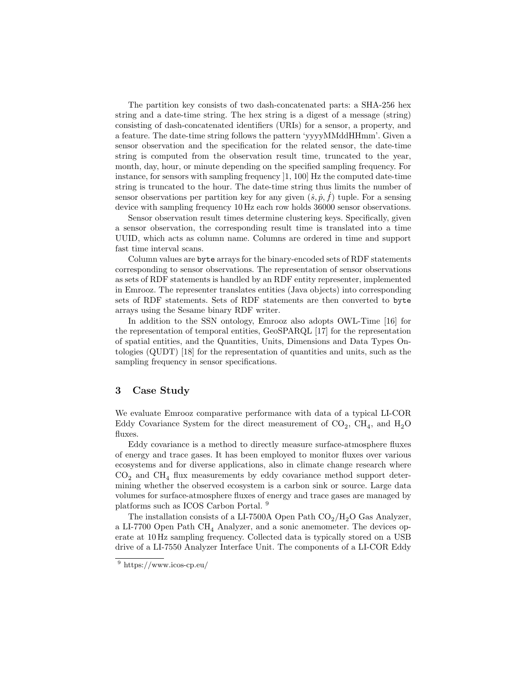The partition key consists of two dash-concatenated parts: a SHA-256 hex string and a date-time string. The hex string is a digest of a message (string) consisting of dash-concatenated identifiers (URIs) for a sensor, a property, and a feature. The date-time string follows the pattern 'yyyyMMddHHmm'. Given a sensor observation and the specification for the related sensor, the date-time string is computed from the observation result time, truncated to the year, month, day, hour, or minute depending on the specified sampling frequency. For instance, for sensors with sampling frequency ]1, 100] Hz the computed date-time string is truncated to the hour. The date-time string thus limits the number of sensor observations per partition key for any given  $(\check{s}, \dot{p}, \dot{f})$  tuple. For a sensing device with sampling frequency 10 Hz each row holds 36000 sensor observations.

Sensor observation result times determine clustering keys. Specifically, given a sensor observation, the corresponding result time is translated into a time UUID, which acts as column name. Columns are ordered in time and support fast time interval scans.

Column values are byte arrays for the binary-encoded sets of RDF statements corresponding to sensor observations. The representation of sensor observations as sets of RDF statements is handled by an RDF entity representer, implemented in Emrooz. The representer translates entities (Java objects) into corresponding sets of RDF statements. Sets of RDF statements are then converted to byte arrays using the Sesame binary RDF writer.

In addition to the SSN ontology, Emrooz also adopts OWL-Time [16] for the representation of temporal entities, GeoSPARQL [17] for the representation of spatial entities, and the Quantities, Units, Dimensions and Data Types Ontologies (QUDT) [18] for the representation of quantities and units, such as the sampling frequency in sensor specifications.

## 3 Case Study

We evaluate Emrooz comparative performance with data of a typical LI-COR Eddy Covariance System for the direct measurement of  $CO_2$ ,  $CH_4$ , and  $H_2O$ fluxes.

Eddy covariance is a method to directly measure surface-atmosphere fluxes of energy and trace gases. It has been employed to monitor fluxes over various ecosystems and for diverse applications, also in climate change research where  $\rm CO_2$  and  $\rm CH_4$  flux measurements by eddy covariance method support determining whether the observed ecosystem is a carbon sink or source. Large data volumes for surface-atmosphere fluxes of energy and trace gases are managed by platforms such as ICOS Carbon Portal. <sup>9</sup>

The installation consists of a LI-7500A Open Path  $CO_2/H_2O$  Gas Analyzer, a LI-7700 Open Path CH<sup>4</sup> Analyzer, and a sonic anemometer. The devices operate at 10 Hz sampling frequency. Collected data is typically stored on a USB drive of a LI-7550 Analyzer Interface Unit. The components of a LI-COR Eddy

<sup>9</sup> https://www.icos-cp.eu/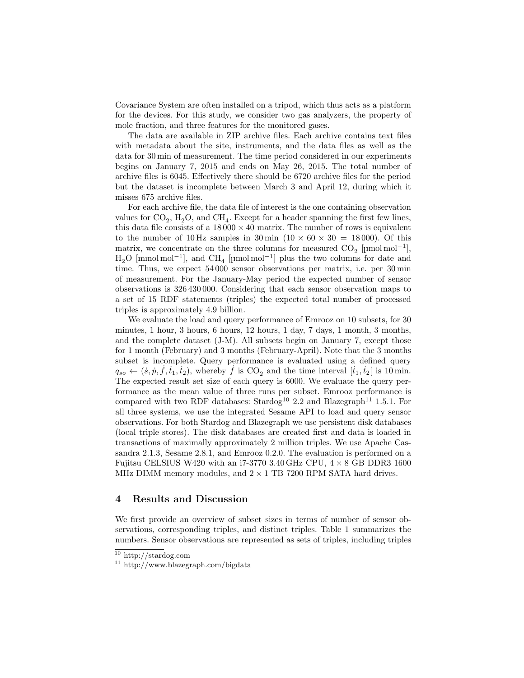Covariance System are often installed on a tripod, which thus acts as a platform for the devices. For this study, we consider two gas analyzers, the property of mole fraction, and three features for the monitored gases.

The data are available in ZIP archive files. Each archive contains text files with metadata about the site, instruments, and the data files as well as the data for 30 min of measurement. The time period considered in our experiments begins on January 7, 2015 and ends on May 26, 2015. The total number of archive files is 6045. Effectively there should be 6720 archive files for the period but the dataset is incomplete between March 3 and April 12, during which it misses 675 archive files.

For each archive file, the data file of interest is the one containing observation values for  $CO_2$ ,  $H_2O$ , and  $CH_4$ . Except for a header spanning the first few lines, this data file consists of a  $18000 \times 40$  matrix. The number of rows is equivalent to the number of 10 Hz samples in  $30 \text{ min } (10 \times 60 \times 30 = 18000)$ . Of this matrix, we concentrate on the three columns for measured  $CO_2$  [µmol mol<sup>-1</sup>],  $H_2O$  [mmol mol<sup>-1</sup>], and CH<sub>4</sub> [µmol mol<sup>-1</sup>] plus the two columns for date and time. Thus, we expect 54 000 sensor observations per matrix, i.e. per 30 min of measurement. For the January-May period the expected number of sensor observations is 326 430 000. Considering that each sensor observation maps to a set of 15 RDF statements (triples) the expected total number of processed triples is approximately 4.9 billion.

We evaluate the load and query performance of Emrooz on 10 subsets, for 30 minutes, 1 hour, 3 hours, 6 hours, 12 hours, 1 day, 7 days, 1 month, 3 months, and the complete dataset (J-M). All subsets begin on January 7, except those for 1 month (February) and 3 months (February-April). Note that the 3 months subset is incomplete. Query performance is evaluated using a defined query  $q_{so} \leftarrow (\dot{s}, \dot{p}, \dot{f}, \dot{t}_1, \dot{t}_2)$ , whereby  $\dot{f}$  is  $CO_2$  and the time interval  $[\dot{t}_1, \dot{t}_2]$  is 10 min. The expected result set size of each query is 6000. We evaluate the query performance as the mean value of three runs per subset. Emrooz performance is compared with two RDF databases: Stardog<sup>10</sup> 2.2 and Blazegraph<sup>11</sup> 1.5.1. For all three systems, we use the integrated Sesame API to load and query sensor observations. For both Stardog and Blazegraph we use persistent disk databases (local triple stores). The disk databases are created first and data is loaded in transactions of maximally approximately 2 million triples. We use Apache Cassandra 2.1.3, Sesame 2.8.1, and Emrooz 0.2.0. The evaluation is performed on a Fujitsu CELSIUS W420 with an i7-3770 3.40 GHz CPU,  $4 \times 8$  GB DDR3 1600 MHz DIMM memory modules, and  $2\times1$  TB 7200 RPM SATA hard drives.

## 4 Results and Discussion

We first provide an overview of subset sizes in terms of number of sensor observations, corresponding triples, and distinct triples. Table 1 summarizes the numbers. Sensor observations are represented as sets of triples, including triples

<sup>10</sup> http://stardog.com

 $11$  http://www.blazegraph.com/bigdata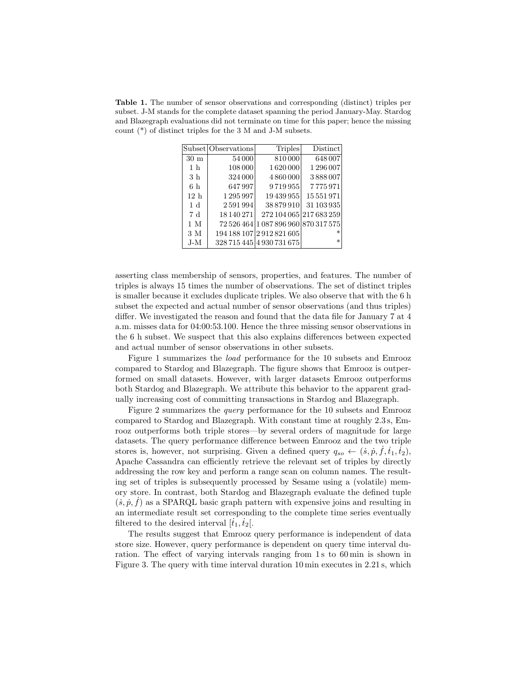Table 1. The number of sensor observations and corresponding (distinct) triples per subset. J-M stands for the complete dataset spanning the period January-May. Stardog and Blazegraph evaluations did not terminate on time for this paper; hence the missing count (\*) of distinct triples for the 3 M and J-M subsets.

|                 | Subset Observations | Triples                              | Distinct                |
|-----------------|---------------------|--------------------------------------|-------------------------|
| $30 \text{ m}$  | 54000               | 810000                               | 648007                  |
| 1 <sub>h</sub>  | 108 000             | 1620000                              | 1296007                 |
| 3 h             | 324 000             | 4860000                              | 3888007                 |
| 6h              | 647997              | 9719955                              | 7775971                 |
| 12 <sub>h</sub> | 1295997             | 19439955                             | 15551971                |
| 1 <sub>d</sub>  | 2591994             | 38 879 910                           | 31 103 935              |
| 7 d             | 18 140 271          |                                      | 272 104 065 217 683 259 |
| 1 M             |                     | 72 526 464 1 087 896 960 870 317 575 |                         |
| 3 M             |                     | 194 188 107 2 912 821 605            | $\ast$                  |
| $J-M$           |                     | 328 715 445 4 930 731 675            | $\ast$                  |

asserting class membership of sensors, properties, and features. The number of triples is always 15 times the number of observations. The set of distinct triples is smaller because it excludes duplicate triples. We also observe that with the 6 h subset the expected and actual number of sensor observations (and thus triples) differ. We investigated the reason and found that the data file for January 7 at 4 a.m. misses data for 04:00:53.100. Hence the three missing sensor observations in the 6 h subset. We suspect that this also explains differences between expected and actual number of sensor observations in other subsets.

Figure 1 summarizes the load performance for the 10 subsets and Emrooz compared to Stardog and Blazegraph. The figure shows that Emrooz is outperformed on small datasets. However, with larger datasets Emrooz outperforms both Stardog and Blazegraph. We attribute this behavior to the apparent gradually increasing cost of committing transactions in Stardog and Blazegraph.

Figure 2 summarizes the query performance for the 10 subsets and Emrooz compared to Stardog and Blazegraph. With constant time at roughly 2.3 s, Emrooz outperforms both triple stores—by several orders of magnitude for large datasets. The query performance difference between Emrooz and the two triple stores is, however, not surprising. Given a defined query  $q_{so} \leftarrow (\dot{s}, \dot{p}, \dot{f}, \dot{t}_1, \dot{t}_2)$ , Apache Cassandra can efficiently retrieve the relevant set of triples by directly addressing the row key and perform a range scan on column names. The resulting set of triples is subsequently processed by Sesame using a (volatile) memory store. In contrast, both Stardog and Blazegraph evaluate the defined tuple  $(s, p, f)$  as a SPARQL basic graph pattern with expensive joins and resulting in an intermediate result set corresponding to the complete time series eventually filtered to the desired interval  $[\dot{t}_1, \dot{t}_2]$ .

The results suggest that Emrooz query performance is independent of data store size. However, query performance is dependent on query time interval duration. The effect of varying intervals ranging from 1s to 60 min is shown in Figure 3. The query with time interval duration 10 min executes in 2.21 s, which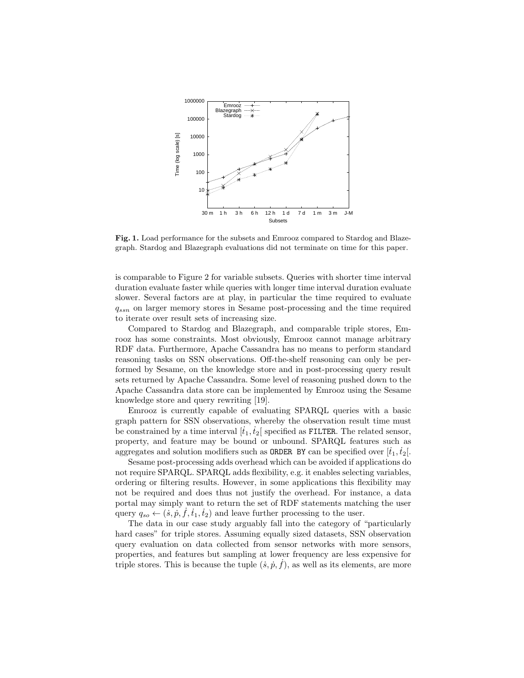

Fig. 1. Load performance for the subsets and Emrooz compared to Stardog and Blazegraph. Stardog and Blazegraph evaluations did not terminate on time for this paper.

is comparable to Figure 2 for variable subsets. Queries with shorter time interval duration evaluate faster while queries with longer time interval duration evaluate slower. Several factors are at play, in particular the time required to evaluate  $q_{ssn}$  on larger memory stores in Sesame post-processing and the time required to iterate over result sets of increasing size.

Compared to Stardog and Blazegraph, and comparable triple stores, Emrooz has some constraints. Most obviously, Emrooz cannot manage arbitrary RDF data. Furthermore, Apache Cassandra has no means to perform standard reasoning tasks on SSN observations. Off-the-shelf reasoning can only be performed by Sesame, on the knowledge store and in post-processing query result sets returned by Apache Cassandra. Some level of reasoning pushed down to the Apache Cassandra data store can be implemented by Emrooz using the Sesame knowledge store and query rewriting [19].

Emrooz is currently capable of evaluating SPARQL queries with a basic graph pattern for SSN observations, whereby the observation result time must be constrained by a time interval  $[t_1, t_2]$  specified as FILTER. The related sensor, property, and feature may be bound or unbound. SPARQL features such as aggregates and solution modifiers such as **ORDER** BY can be specified over  $[i_1, i_2]$ .

Sesame post-processing adds overhead which can be avoided if applications do not require SPARQL. SPARQL adds flexibility, e.g. it enables selecting variables, ordering or filtering results. However, in some applications this flexibility may not be required and does thus not justify the overhead. For instance, a data portal may simply want to return the set of RDF statements matching the user query  $q_{so} \leftarrow (\dot{s}, \dot{p}, \dot{f}, \dot{t}_1, \dot{t}_2)$  and leave further processing to the user.

The data in our case study arguably fall into the category of "particularly hard cases" for triple stores. Assuming equally sized datasets, SSN observation query evaluation on data collected from sensor networks with more sensors, properties, and features but sampling at lower frequency are less expensive for triple stores. This is because the tuple  $(s, p, f)$ , as well as its elements, are more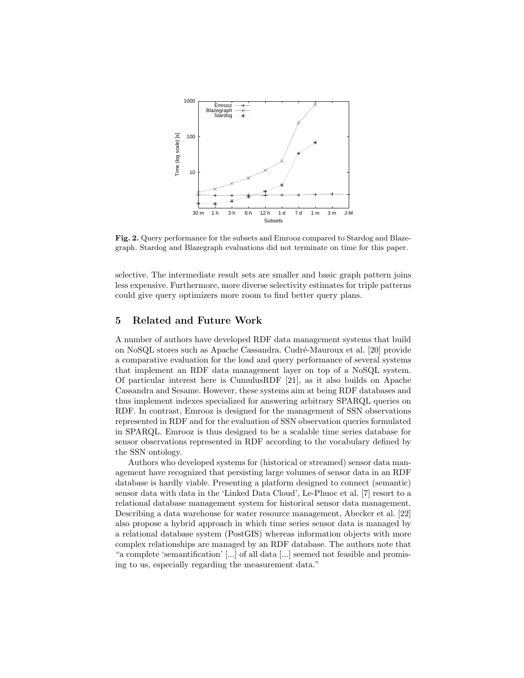

Fig. 2. Query performance for the subsets and Emrooz compared to Stardog and Blazegraph. Stardog and Blazegraph evaluations did not terminate on time for this paper.

selective. The intermediate result sets are smaller and basic graph pattern joins less expensive. Furthermore, more diverse selectivity estimates for triple patterns could give query optimizers more room to find better query plans.

## 5 Related and Future Work

A number of authors have developed RDF data management systems that build on NoSQL stores such as Apache Cassandra. Cudr´e-Mauroux et al. [20] provide a comparative evaluation for the load and query performance of several systems that implement an RDF data management layer on top of a NoSQL system. Of particular interest here is CumulusRDF [21], as it also builds on Apache Cassandra and Sesame. However, these systems aim at being RDF databases and thus implement indexes specialized for answering arbitrary SPARQL queries on RDF. In contrast, Emrooz is designed for the management of SSN observations represented in RDF and for the evaluation of SSN observation queries formulated in SPARQL. Emrooz is thus designed to be a scalable time series database for sensor observations represented in RDF according to the vocabulary defined by the SSN ontology.

Authors who developed systems for (historical or streamed) sensor data management have recognized that persisting large volumes of sensor data in an RDF database is hardly viable. Presenting a platform designed to connect (semantic) sensor data with data in the 'Linked Data Cloud', Le-Phuoc et al. [7] resort to a relational database management system for historical sensor data management. Describing a data warehouse for water resource management, Abecker et al. [22] also propose a hybrid approach in which time series sensor data is managed by a relational database system (PostGIS) whereas information objects with more complex relationships are managed by an RDF database. The authors note that "a complete 'semantification' [...] of all data [...] seemed not feasible and promising to us, especially regarding the measurement data."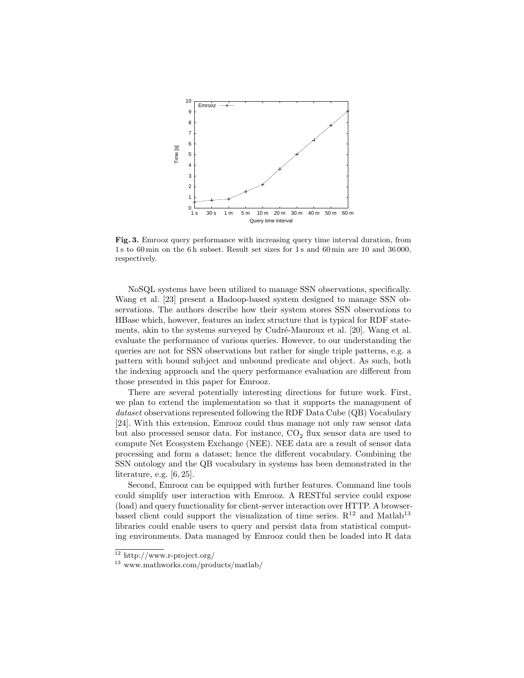

Fig. 3. Emrooz query performance with increasing query time interval duration, from 1 s to 60 min on the 6 h subset. Result set sizes for 1 s and 60 min are 10 and 36 000, respectively.

NoSQL systems have been utilized to manage SSN observations, specifically. Wang et al. [23] present a Hadoop-based system designed to manage SSN observations. The authors describe how their system stores SSN observations to HBase which, however, features an index structure that is typical for RDF statements, akin to the systems surveyed by Cudré-Mauroux et al. [20]. Wang et al. evaluate the performance of various queries. However, to our understanding the queries are not for SSN observations but rather for single triple patterns, e.g. a pattern with bound subject and unbound predicate and object. As such, both the indexing approach and the query performance evaluation are different from those presented in this paper for Emrooz.

There are several potentially interesting directions for future work. First, we plan to extend the implementation so that it supports the management of dataset observations represented following the RDF Data Cube (QB) Vocabulary [24]. With this extension, Emrooz could thus manage not only raw sensor data but also processed sensor data. For instance,  $CO<sub>2</sub>$  flux sensor data are used to compute Net Ecosystem Exchange (NEE). NEE data are a result of sensor data processing and form a dataset; hence the different vocabulary. Combining the SSN ontology and the QB vocabulary in systems has been demonstrated in the literature, e.g. [6, 25].

Second, Emrooz can be equipped with further features. Command line tools could simplify user interaction with Emrooz. A RESTful service could expose (load) and query functionality for client-server interaction over HTTP. A browserbased client could support the visualization of time series.  $R^{12}$  and Matlab<sup>13</sup> libraries could enable users to query and persist data from statistical computing environments. Data managed by Emrooz could then be loaded into R data

<sup>12</sup> http://www.r-project.org/

<sup>13</sup> www.mathworks.com/products/matlab/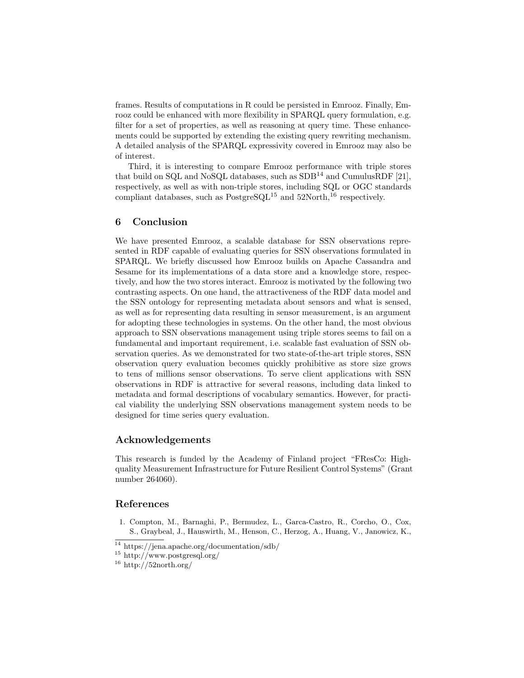frames. Results of computations in R could be persisted in Emrooz. Finally, Emrooz could be enhanced with more flexibility in SPARQL query formulation, e.g. filter for a set of properties, as well as reasoning at query time. These enhancements could be supported by extending the existing query rewriting mechanism. A detailed analysis of the SPARQL expressivity covered in Emrooz may also be of interest.

Third, it is interesting to compare Emrooz performance with triple stores that build on SQL and NoSQL databases, such as  $SDB<sup>14</sup>$  and CumulusRDF [21], respectively, as well as with non-triple stores, including SQL or OGC standards compliant databases, such as  $PostgreSQL^{15}$  and  $52North,^{16}$  respectively.

# 6 Conclusion

We have presented Emrooz, a scalable database for SSN observations represented in RDF capable of evaluating queries for SSN observations formulated in SPARQL. We briefly discussed how Emrooz builds on Apache Cassandra and Sesame for its implementations of a data store and a knowledge store, respectively, and how the two stores interact. Emrooz is motivated by the following two contrasting aspects. On one hand, the attractiveness of the RDF data model and the SSN ontology for representing metadata about sensors and what is sensed, as well as for representing data resulting in sensor measurement, is an argument for adopting these technologies in systems. On the other hand, the most obvious approach to SSN observations management using triple stores seems to fail on a fundamental and important requirement, i.e. scalable fast evaluation of SSN observation queries. As we demonstrated for two state-of-the-art triple stores, SSN observation query evaluation becomes quickly prohibitive as store size grows to tens of millions sensor observations. To serve client applications with SSN observations in RDF is attractive for several reasons, including data linked to metadata and formal descriptions of vocabulary semantics. However, for practical viability the underlying SSN observations management system needs to be designed for time series query evaluation.

## Acknowledgements

This research is funded by the Academy of Finland project "FResCo: Highquality Measurement Infrastructure for Future Resilient Control Systems" (Grant number 264060).

#### References

1. Compton, M., Barnaghi, P., Bermudez, L., Garca-Castro, R., Corcho, O., Cox, S., Graybeal, J., Hauswirth, M., Henson, C., Herzog, A., Huang, V., Janowicz, K.,

<sup>14</sup> https://jena.apache.org/documentation/sdb/

<sup>15</sup> http://www.postgresql.org/

 $16$  http://52north.org/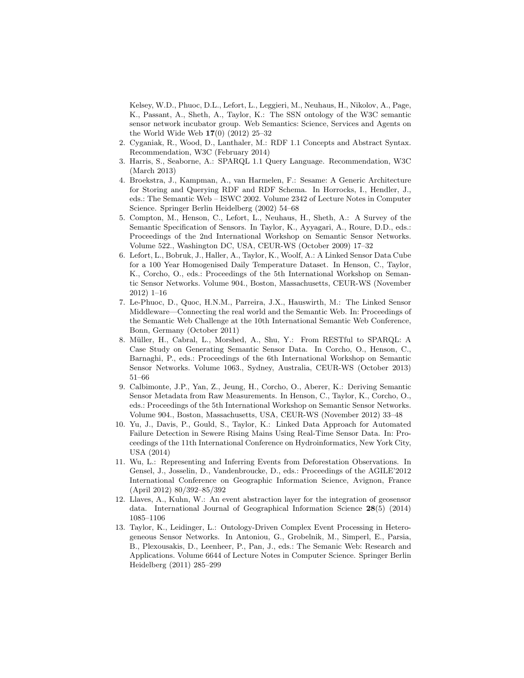Kelsey, W.D., Phuoc, D.L., Lefort, L., Leggieri, M., Neuhaus, H., Nikolov, A., Page, K., Passant, A., Sheth, A., Taylor, K.: The SSN ontology of the W3C semantic sensor network incubator group. Web Semantics: Science, Services and Agents on the World Wide Web 17(0) (2012) 25–32

- 2. Cyganiak, R., Wood, D., Lanthaler, M.: RDF 1.1 Concepts and Abstract Syntax. Recommendation, W3C (February 2014)
- 3. Harris, S., Seaborne, A.: SPARQL 1.1 Query Language. Recommendation, W3C (March 2013)
- 4. Broekstra, J., Kampman, A., van Harmelen, F.: Sesame: A Generic Architecture for Storing and Querying RDF and RDF Schema. In Horrocks, I., Hendler, J., eds.: The Semantic Web – ISWC 2002. Volume 2342 of Lecture Notes in Computer Science. Springer Berlin Heidelberg (2002) 54–68
- 5. Compton, M., Henson, C., Lefort, L., Neuhaus, H., Sheth, A.: A Survey of the Semantic Specification of Sensors. In Taylor, K., Ayyagari, A., Roure, D.D., eds.: Proceedings of the 2nd International Workshop on Semantic Sensor Networks. Volume 522., Washington DC, USA, CEUR-WS (October 2009) 17–32
- 6. Lefort, L., Bobruk, J., Haller, A., Taylor, K., Woolf, A.: A Linked Sensor Data Cube for a 100 Year Homogenised Daily Temperature Dataset. In Henson, C., Taylor, K., Corcho, O., eds.: Proceedings of the 5th International Workshop on Semantic Sensor Networks. Volume 904., Boston, Massachusetts, CEUR-WS (November 2012) 1–16
- 7. Le-Phuoc, D., Quoc, H.N.M., Parreira, J.X., Hauswirth, M.: The Linked Sensor Middleware—Connecting the real world and the Semantic Web. In: Proceedings of the Semantic Web Challenge at the 10th International Semantic Web Conference, Bonn, Germany (October 2011)
- 8. M¨uller, H., Cabral, L., Morshed, A., Shu, Y.: From RESTful to SPARQL: A Case Study on Generating Semantic Sensor Data. In Corcho, O., Henson, C., Barnaghi, P., eds.: Proceedings of the 6th International Workshop on Semantic Sensor Networks. Volume 1063., Sydney, Australia, CEUR-WS (October 2013) 51–66
- 9. Calbimonte, J.P., Yan, Z., Jeung, H., Corcho, O., Aberer, K.: Deriving Semantic Sensor Metadata from Raw Measurements. In Henson, C., Taylor, K., Corcho, O., eds.: Proceedings of the 5th International Workshop on Semantic Sensor Networks. Volume 904., Boston, Massachusetts, USA, CEUR-WS (November 2012) 33–48
- 10. Yu, J., Davis, P., Gould, S., Taylor, K.: Linked Data Approach for Automated Failure Detection in Sewere Rising Mains Using Real-Time Sensor Data. In: Proceedings of the 11th International Conference on Hydroinformatics, New York City, USA (2014)
- 11. Wu, L.: Representing and Inferring Events from Deforestation Observations. In Gensel, J., Josselin, D., Vandenbroucke, D., eds.: Proceedings of the AGILE'2012 International Conference on Geographic Information Science, Avignon, France (April 2012) 80/392–85/392
- 12. Llaves, A., Kuhn, W.: An event abstraction layer for the integration of geosensor data. International Journal of Geographical Information Science 28(5) (2014) 1085–1106
- 13. Taylor, K., Leidinger, L.: Ontology-Driven Complex Event Processing in Heterogeneous Sensor Networks. In Antoniou, G., Grobelnik, M., Simperl, E., Parsia, B., Plexousakis, D., Leenheer, P., Pan, J., eds.: The Semanic Web: Research and Applications. Volume 6644 of Lecture Notes in Computer Science. Springer Berlin Heidelberg (2011) 285–299